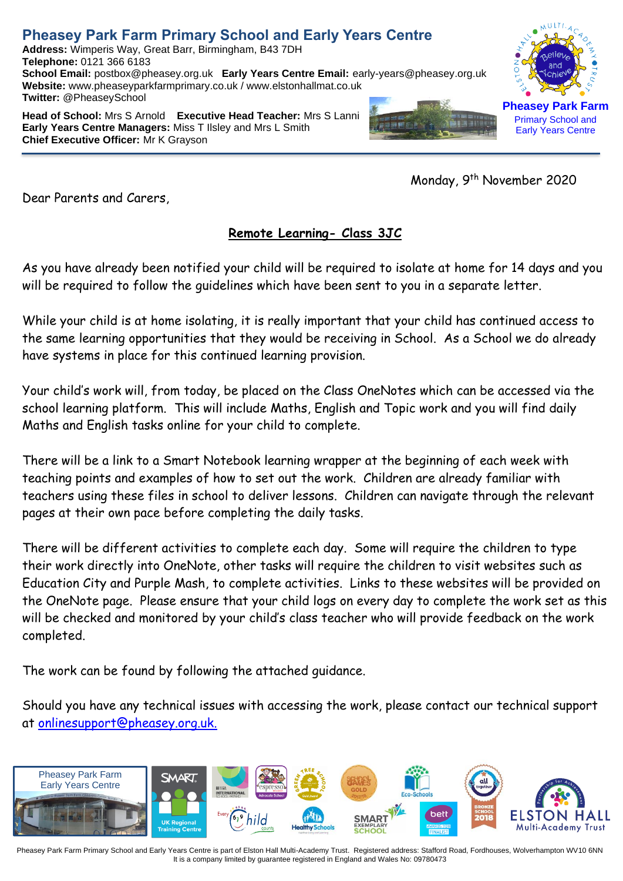## **Pheasey Park Farm Primary School and Early Years Centre**

**Address:** Wimperis Way, Great Barr, Birmingham, B43 7DH **Telephone:** 0121 366 6183 **School Email:** postbox@pheasey.org.uk **Early Years Centre Email:** [early-years@pheasey.](mailto:early-years@pheasey)org.uk **Website:** [www.pheaseyparkfarmprimary.co.uk](http://www.pheaseyparkfarmprimary.co.uk/) / www.elstonhallmat.co.uk **Twitter:** @PheaseySchool

**Head of School:** Mrs S Arnold **Executive Head Teacher:** Mrs S Lanni **Early Years Centre Managers:** Miss T Ilsley and Mrs L Smith **Chief Executive Officer:** Mr K Grayson

Monday, 9<sup>th</sup> November 2020

Dear Parents and Carers,

## **Remote Learning- Class 3JC**

As you have already been notified your child will be required to isolate at home for 14 days and you will be required to follow the guidelines which have been sent to you in a separate letter.

While your child is at home isolating, it is really important that your child has continued access to the same learning opportunities that they would be receiving in School. As a School we do already have systems in place for this continued learning provision.

Your child's work will, from today, be placed on the Class OneNotes which can be accessed via the school learning platform. This will include Maths, English and Topic work and you will find daily Maths and English tasks online for your child to complete.

There will be a link to a Smart Notebook learning wrapper at the beginning of each week with teaching points and examples of how to set out the work. Children are already familiar with teachers using these files in school to deliver lessons. Children can navigate through the relevant pages at their own pace before completing the daily tasks.

There will be different activities to complete each day. Some will require the children to type their work directly into OneNote, other tasks will require the children to visit websites such as Education City and Purple Mash, to complete activities. Links to these websites will be provided on the OneNote page. Please ensure that your child logs on every day to complete the work set as this will be checked and monitored by your child's class teacher who will provide feedback on the work completed.

The work can be found by following the attached guidance.

Should you have any technical issues with accessing the work, please contact our technical support at [onlinesupport@pheasey.org.uk.](mailto:onlinesupport@pheasey.org.uk)



Pheasey Park Farm Primary School and Early Years Centre is part of Elston Hall Multi-Academy Trust. Registered address: Stafford Road, Fordhouses, Wolverhampton WV10 6NN It is a company limited by guarantee registered in England and Wales No: 09780473



Early Years Centre